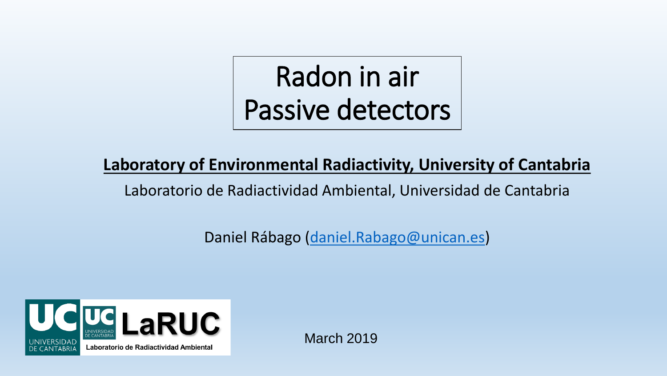# Radon in air Passive detectors

### **Laboratory of Environmental Radiactivity, University of Cantabria**

Laboratorio de Radiactividad Ambiental, Universidad de Cantabria

Daniel Rábago [\(daniel.Rabago@unican.es\)](mailto:daniel.Rabago@unican.es)



March 2019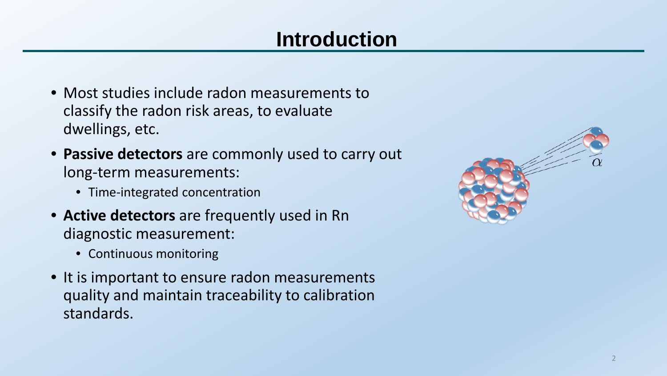# **Introduction**

- Most studies include radon measurements to classify the radon risk areas, to evaluate dwellings, etc.
- **Passive detectors** are commonly used to carry out long-term measurements:
	- Time-integrated concentration
- **Active detectors** are frequently used in Rn diagnostic measurement:
	- Continuous monitoring
- It is important to ensure radon measurements quality and maintain traceability to calibration standards.

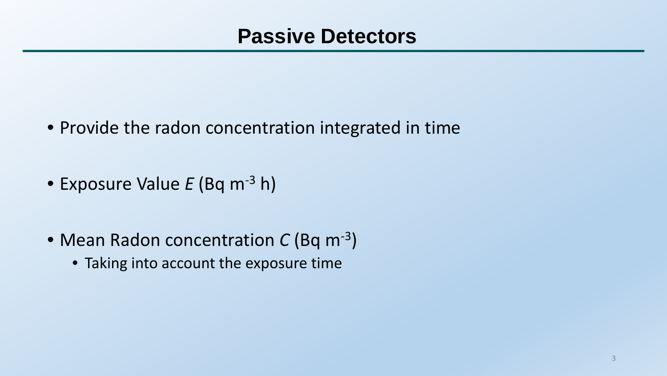- Provide the radon concentration integrated in time
- Exposure Value *E* (Bq m-3 h)
- Mean Radon concentration *C* (Bq m-3)
	- Taking into account the exposure time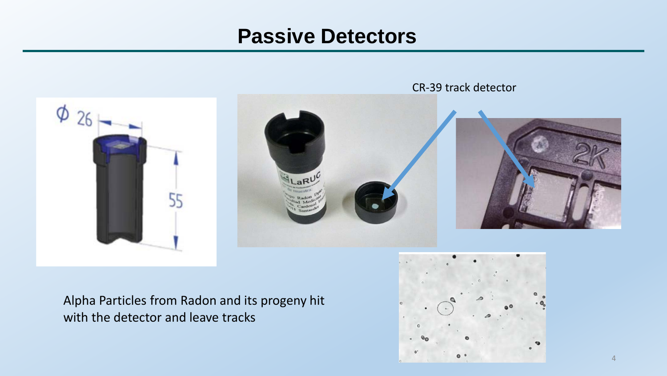

Alpha Particles from Radon and its progeny hit with the detector and leave tracks

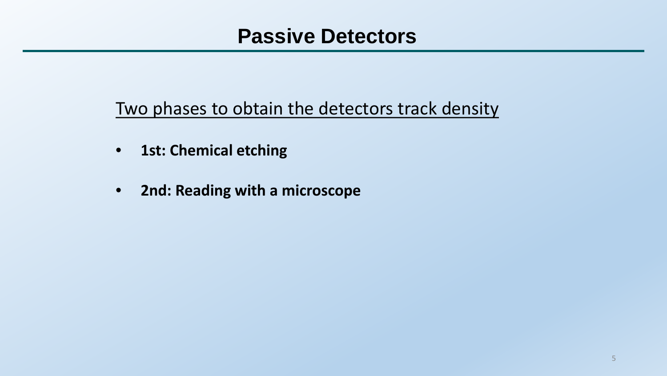Two phases to obtain the detectors track density

- **1st: Chemical etching**
- **2nd: Reading with a microscope**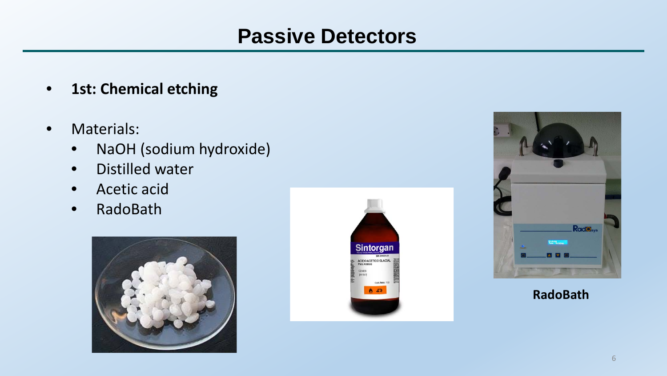- **1st: Chemical etching**
- Materials:
	- NaOH (sodium hydroxide)
	- Distilled water
	- Acetic acid
	- RadoBath







#### **RadoBath**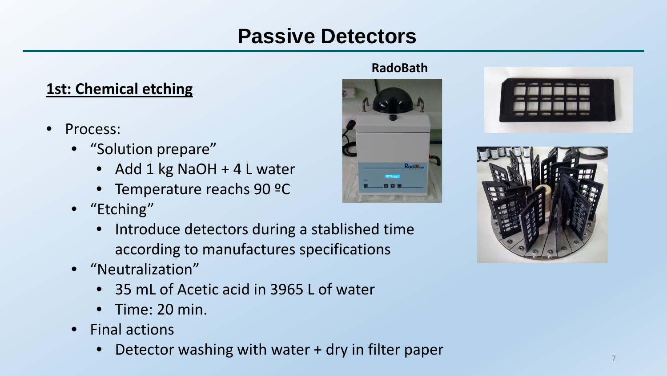#### **1st: Chemical etching**

- Process:
	- "Solution prepare"
		- Add 1 kg NaOH + 4 L water
		- Temperature reachs 90 ºC
	- "Etching"
		- Introduce detectors during a stablished time according to manufactures specifications
	- "Neutralization"
		- 35 mL of Acetic acid in 3965 L of water
		- Time: 20 min.
	- Final actions
		- Detector washing with water + dry in filter paper

#### **RadoBath**





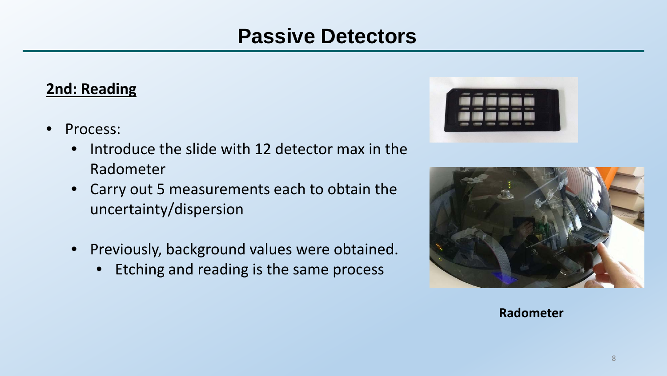#### **2nd: Reading**

- Process:
	- Introduce the slide with 12 detector max in the Radometer
	- Carry out 5 measurements each to obtain the uncertainty/dispersion
	- Previously, background values were obtained.
		- Etching and reading is the same process





**Radometer**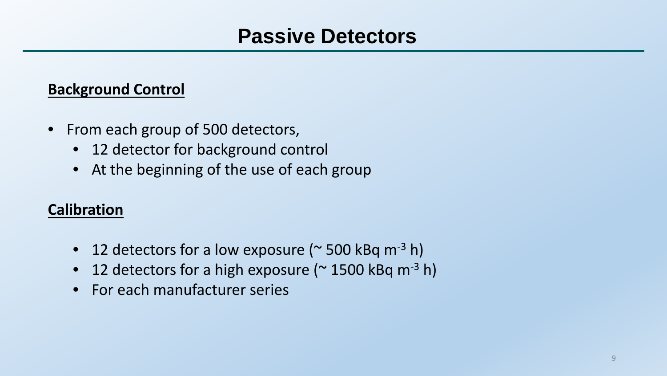#### **Background Control**

- From each group of 500 detectors,
	- 12 detector for background control
	- At the beginning of the use of each group

### **Calibration**

- 12 detectors for a low exposure ( $\sim$  500 kBq m<sup>-3</sup> h)
- 12 detectors for a high exposure ( $\approx$  1500 kBq m<sup>-3</sup> h)
- For each manufacturer series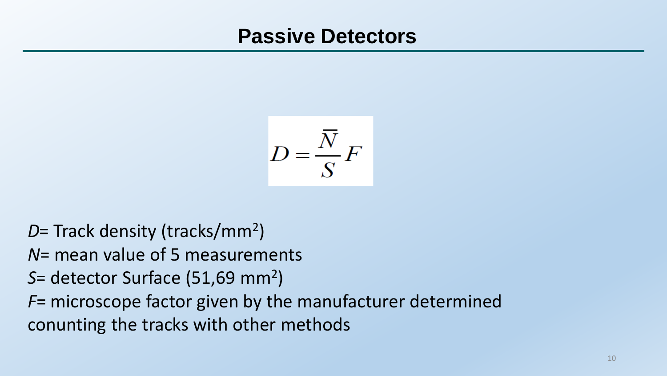$$
D = \frac{\overline{N}}{S}F
$$

- *D*= Track density (tracks/mm2)
- *N*= mean value of 5 measurements
- *S*= detector Surface (51,69 mm2)
- *F*= microscope factor given by the manufacturer determined conunting the tracks with other methods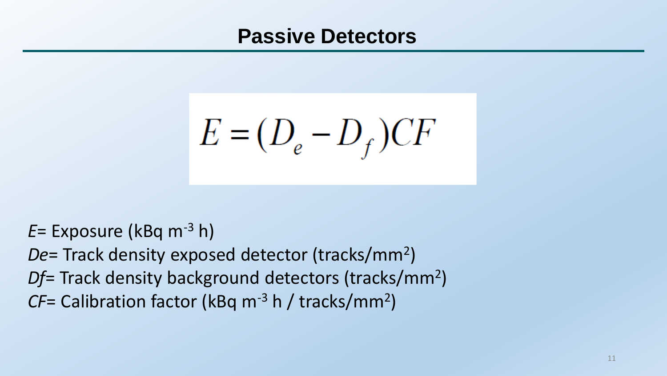$E = (D_e - D_f)CF$ 

*E*= Exposure (kBq m-3 h)

*De*= Track density exposed detector (tracks/mm2)

*Df*= Track density background detectors (tracks/mm2)

*CF*= Calibration factor (kBq m<sup>-3</sup> h / tracks/mm<sup>2</sup>)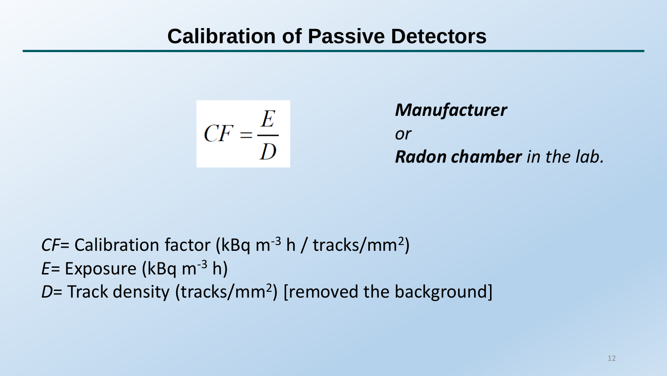$$
CF = \frac{E}{D}
$$

# *Manufacturer or Radon chamber in the lab.*

*CF*= Calibration factor (kBq m<sup>-3</sup> h / tracks/mm<sup>2</sup>) *E*= Exposure (kBq m-3 h) *D*= Track density (tracks/mm<sup>2</sup>) [removed the background]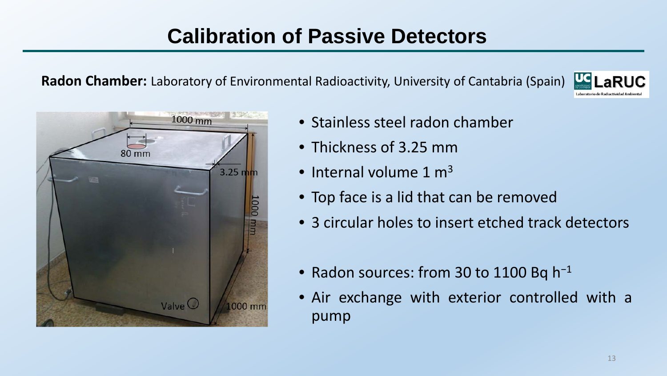**Radon Chamber:** Laboratory of Environmental Radioactivity, University of Cantabria (Spain)





- Stainless steel radon chamber
- Thickness of 3.25 mm
- Internal volume 1  $m<sup>3</sup>$
- Top face is a lid that can be removed
- 3 circular holes to insert etched track detectors
- Radon sources: from 30 to 1100 Bq h<sup>−</sup><sup>1</sup>
- Air exchange with exterior controlled with a pump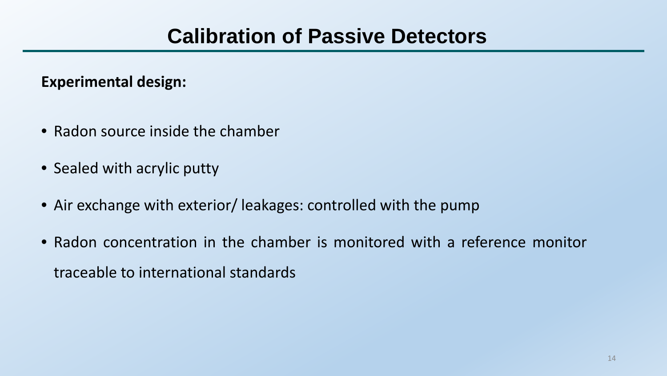**Experimental design:**

- Radon source inside the chamber
- Sealed with acrylic putty
- Air exchange with exterior/ leakages: controlled with the pump
- Radon concentration in the chamber is monitored with a reference monitor traceable to international standards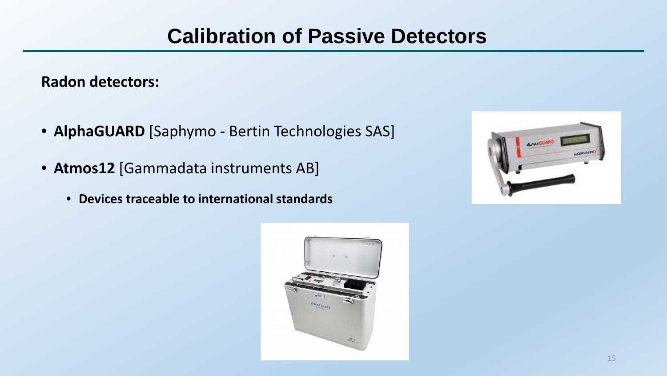**Radon detectors:**

- **AlphaGUARD** [Saphymo Bertin Technologies SAS]
- **Atmos12** [Gammadata instruments AB]
	- **Devices traceable to international standards**



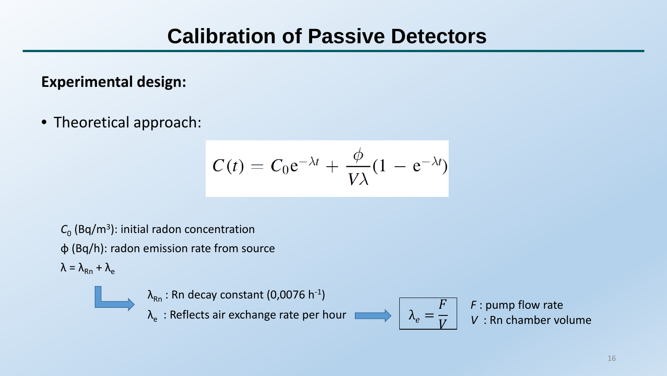**Experimental design:**

• Theoretical approach:

$$
C(t) = C_0 e^{-\lambda t} + \frac{\phi}{V\lambda} (1 - e^{-\lambda t})
$$

 $C_0$  (Bq/m<sup>3</sup>): initial radon concentration φ (Bq/h): radon emission rate from source  $\lambda = \lambda_{\rm Rn} + \lambda_{\rm e}$ 



*F* : pump flow rate *V* : Rn chamber volume

=

 $\boldsymbol{F}$ 

 $\overline{V}$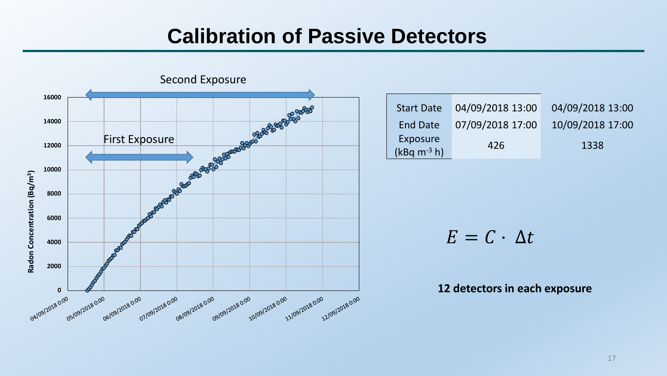

| <b>Start Date</b>         | 04/09/2018 13:00 | 04/09/2018 13:00 |
|---------------------------|------------------|------------------|
| <b>End Date</b>           | 07/09/2018 17:00 | 10/09/2018 17:00 |
| Exposure<br>$(kBq m-3 h)$ | 426              | 1338             |

 $E = C \cdot \Delta t$ 

#### **12 detectors in each exposure**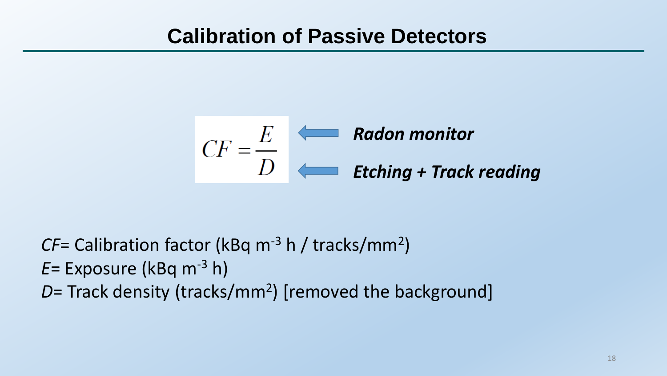$$
CF = \frac{E}{D}
$$
 **Radon monitor**  
**Etching + Track reading**

*CF*= Calibration factor (kBq m<sup>-3</sup> h / tracks/mm<sup>2</sup>) *E*= Exposure (kBq m-3 h) *D*= Track density (tracks/mm<sup>2</sup>) [removed the background]